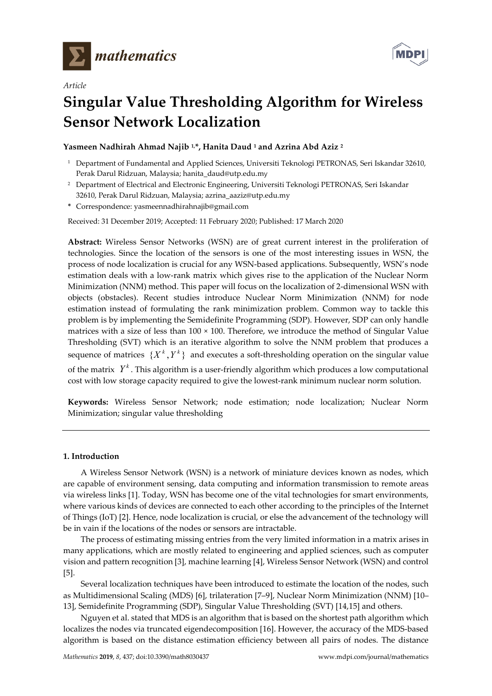

*Article*



# **Singular Value Thresholding Algorithm for Wireless Sensor Network Localization**

# **Yasmeen Nadhirah Ahmad Najib 1, \*, Hanita Daud <sup>1</sup> and Azrina Abd Aziz <sup>2</sup>**

- <sup>1</sup> Department of Fundamental and Applied Sciences, Universiti Teknologi PETRONAS, Seri Iskandar 32610, Perak Darul Ridzuan, Malaysia; hanita\_daud@utp.edu.my
- <sup>2</sup> Department of Electrical and Electronic Engineering, Universiti Teknologi PETRONAS, Seri Iskandar 32610, Perak Darul Ridzuan, Malaysia; azrina\_aaziz@utp.edu.my
- **\*** Correspondence: yasmeennadhirahnajib@gmail.com

Received: 31 December 2019; Accepted: 11 February 2020; Published: 17 March 2020

**Abstract:** Wireless Sensor Networks (WSN) are of great current interest in the proliferation of technologies. Since the location of the sensors is one of the most interesting issues in WSN, the process of node localization is crucial for any WSN-based applications. Subsequently, WSN's node estimation deals with a low-rank matrix which gives rise to the application of the Nuclear Norm Minimization (NNM) method. This paper will focus on the localization of 2-dimensional WSN with objects (obstacles). Recent studies introduce Nuclear Norm Minimization (NNM) for node estimation instead of formulating the rank minimization problem. Common way to tackle this problem is by implementing the Semidefinite Programming (SDP). However, SDP can only handle matrices with a size of less than  $100 \times 100$ . Therefore, we introduce the method of Singular Value Thresholding (SVT) which is an iterative algorithm to solve the NNM problem that produces a sequence of matrices  $\{X^k, Y^k\}$  and executes a soft-thresholding operation on the singular value of the matrix  $Y^k$ . This algorithm is a user-friendly algorithm which produces a low computational cost with low storage capacity required to give the lowest-rank minimum nuclear norm solution.

**Keywords:** Wireless Sensor Network; node estimation; node localization; Nuclear Norm Minimization; singular value thresholding

## **1. Introduction**

A Wireless Sensor Network (WSN) is a network of miniature devices known as nodes, which are capable of environment sensing, data computing and information transmission to remote areas via wireless links [1]. Today, WSN has become one of the vital technologies for smart environments, where various kinds of devices are connected to each other according to the principles of the Internet of Things (IoT) [2]. Hence, node localization is crucial, or else the advancement of the technology will be in vain if the locations of the nodes or sensors are intractable.

The process of estimating missing entries from the very limited information in a matrix arises in many applications, which are mostly related to engineering and applied sciences, such as computer vision and pattern recognition [3], machine learning [4], Wireless Sensor Network (WSN) and control [5].

Several localization techniques have been introduced to estimate the location of the nodes, such as Multidimensional Scaling (MDS) [6], trilateration [7–9], Nuclear Norm Minimization (NNM) [10– 13], Semidefinite Programming (SDP), Singular Value Thresholding (SVT) [14,15] and others.

Nguyen et al. stated that MDS is an algorithm that is based on the shortest path algorithm which localizes the nodes via truncated eigendecomposition [16]. However, the accuracy of the MDS-based algorithm is based on the distance estimation efficiency between all pairs of nodes. The distance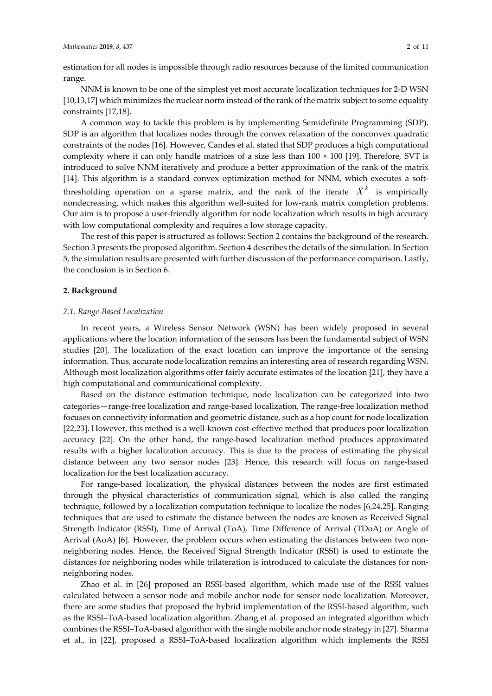estimation for all nodes is impossible through radio resources because of the limited communication range.

NNM is known to be one of the simplest yet most accurate localization techniques for 2-D WSN [10,13,17] which minimizes the nuclear norm instead of the rank of the matrix subject to some equality constraints [17,18].

A common way to tackle this problem is by implementing Semidefinite Programming (SDP). SDP is an algorithm that localizes nodes through the convex relaxation of the nonconvex quadratic constraints of the nodes [16]. However, Candes et al. stated that SDP produces a high computational complexity where it can only handle matrices of a size less than 100 × 100 [19]. Therefore, SVT is introduced to solve NNM iteratively and produce a better approximation of the rank of the matrix [14]. This algorithm is a standard convex optimization method for NNM, which executes a softthresholding operation on a sparse matrix, and the rank of the iterate  $X<sup>k</sup>$  is empirically nondecreasing, which makes this algorithm well-suited for low-rank matrix completion problems. Our aim is to propose a user-friendly algorithm for node localization which results in high accuracy with low computational complexity and requires a low storage capacity.

The rest of this paper is structured as follows: Section 2 contains the background of the research. Section 3 presents the proposed algorithm. Section 4 describes the details of the simulation. In Section 5, the simulation results are presented with further discussion of the performance comparison. Lastly, the conclusion is in Section 6.

### **2. Background**

#### *2.1. Range-Based Localization*

In recent years, a Wireless Sensor Network (WSN) has been widely proposed in several applications where the location information of the sensors has been the fundamental subject of WSN studies [20]. The localization of the exact location can improve the importance of the sensing information. Thus, accurate node localization remains an interesting area of research regarding WSN. Although most localization algorithms offer fairly accurate estimates of the location [21], they have a high computational and communicational complexity.

Based on the distance estimation technique, node localization can be categorized into two categories—range-free localization and range-based localization. The range-free localization method focuses on connectivity information and geometric distance, such as a hop count for node localization [22,23]. However, this method is a well-known cost-effective method that produces poor localization accuracy [22]. On the other hand, the range-based localization method produces approximated results with a higher localization accuracy. This is due to the process of estimating the physical distance between any two sensor nodes [23]. Hence, this research will focus on range-based localization for the best localization accuracy.

For range-based localization, the physical distances between the nodes are first estimated through the physical characteristics of communication signal, which is also called the ranging technique, followed by a localization computation technique to localize the nodes [6,24,25]. Ranging techniques that are used to estimate the distance between the nodes are known as Received Signal Strength Indicator (RSSI), Time of Arrival (ToA), Time Difference of Arrival (TDoA) or Angle of Arrival (AoA) [6]. However, the problem occurs when estimating the distances between two nonneighboring nodes. Hence, the Received Signal Strength Indicator (RSSI) is used to estimate the distances for neighboring nodes while trilateration is introduced to calculate the distances for nonneighboring nodes.

Zhao et al. in [26] proposed an RSSI-based algorithm, which made use of the RSSI values calculated between a sensor node and mobile anchor node for sensor node localization. Moreover, there are some studies that proposed the hybrid implementation of the RSSI-based algorithm, such as the RSSI–ToA-based localization algorithm. Zhang et al. proposed an integrated algorithm which combines the RSSI–ToA-based algorithm with the single mobile anchor node strategy in [27]. Sharma et al., in [22], proposed a RSSI–ToA-based localization algorithm which implements the RSSI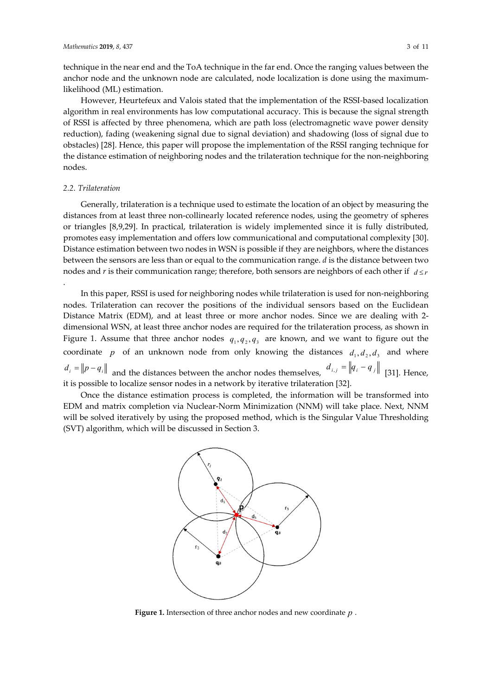technique in the near end and the ToA technique in the far end. Once the ranging values between the anchor node and the unknown node are calculated, node localization is done using the maximumlikelihood (ML) estimation.

However, Heurtefeux and Valois stated that the implementation of the RSSI-based localization algorithm in real environments has low computational accuracy. This is because the signal strength of RSSI is affected by three phenomena, which are path loss (electromagnetic wave power density reduction), fading (weakening signal due to signal deviation) and shadowing (loss of signal due to obstacles) [28]. Hence, this paper will propose the implementation of the RSSI ranging technique for the distance estimation of neighboring nodes and the trilateration technique for the non-neighboring nodes.

## *2.2. Trilateration*

.

Generally, trilateration is a technique used to estimate the location of an object by measuring the distances from at least three non-collinearly located reference nodes, using the geometry of spheres or triangles [8,9,29]. In practical, trilateration is widely implemented since it is fully distributed, promotes easy implementation and offers low communicational and computational complexity [30]. Distance estimation between two nodes in WSN is possible if they are neighbors, where the distances between the sensors are less than or equal to the communication range. *d* is the distance between two nodes and *r* is their communication range; therefore, both sensors are neighbors of each other if  $d \leq r$ 

In this paper, RSSI is used for neighboring nodes while trilateration is used for non-neighboring nodes. Trilateration can recover the positions of the individual sensors based on the Euclidean Distance Matrix (EDM), and at least three or more anchor nodes. Since we are dealing with 2 dimensional WSN, at least three anchor nodes are required for the trilateration process, as shown in Figure 1. Assume that three anchor nodes  $q_1, q_2, q_3$  are known, and we want to figure out the coordinate *p* of an unknown node from only knowing the distances  $d_1, d_2, d_3$  and where  $d_i = ||p - q_i||$  and the distances between the anchor nodes themselves,  $d_{i,j} = ||q_i - q_j||$  [31]. Hence, it is possible to localize sensor nodes in a network by iterative trilateration [32].

Once the distance estimation process is completed, the information will be transformed into EDM and matrix completion via Nuclear-Norm Minimization (NNM) will take place. Next, NNM will be solved iteratively by using the proposed method, which is the Singular Value Thresholding (SVT) algorithm, which will be discussed in Section 3.



**Figure 1.** Intersection of three anchor nodes and new coordinate *p* .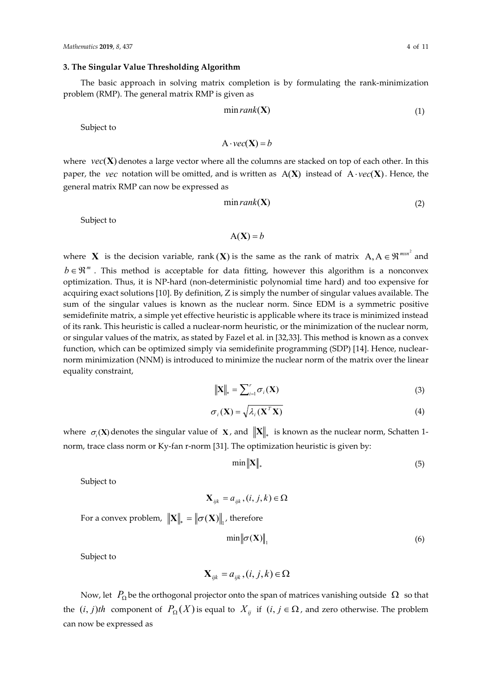### **3. The Singular Value Thresholding Algorithm**

The basic approach in solving matrix completion is by formulating the rank-minimization problem (RMP). The general matrix RMP is given as

$$
\min rank(\mathbf{X})\tag{1}
$$

Subject to

$$
A \cdot vec(\mathbf{X}) = b
$$

where  $\text{vec}(\mathbf{X})$  denotes a large vector where all the columns are stacked on top of each other. In this paper, the *vec* notation will be omitted, and is written as  $A(X)$  instead of  $A \cdot vec(X)$ . Hence, the general matrix RMP can now be expressed as

$$
\min rank(\mathbf{X})\tag{2}
$$

Subject to

$$
A(X) = b
$$

where **X** is the decision variable, rank (**X**) is the same as the rank of matrix  $A, A \in \mathbb{R}^{m \times n^2}$  and  $b \in \mathbb{R}^m$ . This method is acceptable for data fitting, however this algorithm is a nonconvex optimization. Thus, it is NP-hard (non-deterministic polynomial time hard) and too expensive for acquiring exact solutions [10]. By definition, Z is simply the number of singular values available. The sum of the singular values is known as the nuclear norm. Since EDM is a symmetric positive semidefinite matrix, a simple yet effective heuristic is applicable where its trace is minimized instead of its rank. This heuristic is called a nuclear-norm heuristic, or the minimization of the nuclear norm, or singular values of the matrix, as stated by Fazel et al. in [32,33]. This method is known as a convex function, which can be optimized simply via semidefinite programming (SDP) [14]. Hence, nuclearnorm minimization (NNM) is introduced to minimize the nuclear norm of the matrix over the linear equality constraint,

$$
\|\mathbf{X}\|_{*} = \sum_{i=1}^{r} \sigma_{i}(\mathbf{X})
$$
\n(3)

$$
\sigma_i(\mathbf{X}) = \sqrt{\lambda_i(\mathbf{X}^T \mathbf{X})}
$$
\n(4)

where  $\sigma_i(\mathbf{X})$  denotes the singular value of **X**, and  $\|\mathbf{X}\|$  is known as the nuclear norm, Schatten 1norm, trace class norm or Ky-fan r-norm [31]. The optimization heuristic is given by:

$$
\min \|X\|_{*} \tag{5}
$$

Subject to

 $\mathbf{X}_{ijk} = a_{ijk}, (i, j, k) \in \Omega$ 

For a convex problem,  $\|\mathbf{X}\|_{*} = \|\sigma(\mathbf{X})\|_{1}$ , therefore

$$
\min \left\| \sigma(\mathbf{X}) \right\|_1 \tag{6}
$$

Subject to

$$
\mathbf{X}_{ijk} = a_{ijk}, (i, j, k) \in \Omega
$$

Now, let  $P_{\Omega}$  be the orthogonal projector onto the span of matrices vanishing outside  $\Omega$  so that the  $(i, j)$ th component of  $P_{\Omega}(X)$  is equal to  $X_{ij}$  if  $(i, j \in \Omega)$ , and zero otherwise. The problem can now be expressed as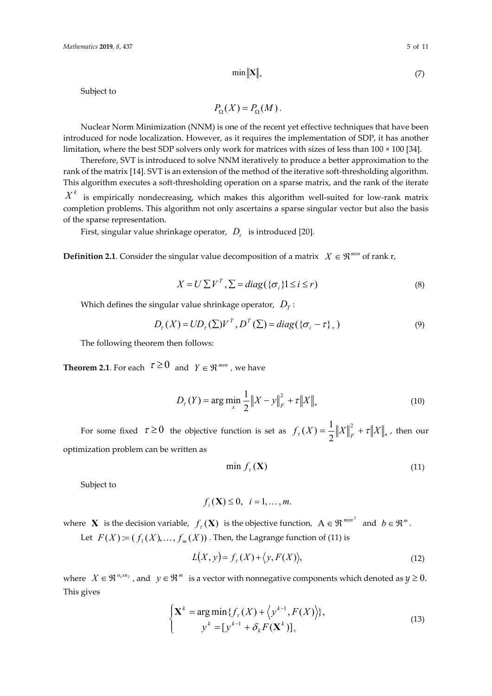$\min \|\mathbf{X}\|_*$  (7)

Subject to

$$
P_{\Omega}(X) = P_{\Omega}(M).
$$

Nuclear Norm Minimization (NNM) is one of the recent yet effective techniques that have been introduced for node localization. However, as it requires the implementation of SDP, it has another limitation, where the best SDP solvers only work for matrices with sizes of less than 100 × 100 [34].

Therefore, SVT is introduced to solve NNM iteratively to produce a better approximation to the rank of the matrix [14]. SVT is an extension of the method of the iterative soft-thresholding algorithm. This algorithm executes a soft-thresholding operation on a sparse matrix, and the rank of the iterate

 $X^k$  is empirically nondecreasing, which makes this algorithm well-suited for low-rank matrix completion problems. This algorithm not only ascertains a sparse singular vector but also the basis of the sparse representation.

First, singular value shrinkage operator,  $D<sub>r</sub>$  is introduced [20].

**Definition 2.1**. Consider the singular value decomposition of a matrix  $X \in \mathbb{R}^{m \times n}$  of rank r,

$$
X = U \sum V^T, \sum = diag(\{\sigma_i\} \mathbf{1} \le i \le r)
$$
\n(8)

Which defines the singular value shrinkage operator,  $D<sub>r</sub>$ :

$$
D_{\tau}(X) = UD_{\tau}(\Sigma)V^{T}, D^{T}(\Sigma) = diag(\{\sigma_{i} - \tau\}_{+})
$$
\n(9)

The following theorem then follows:

**Theorem 2.1**. For each  $\tau \ge 0$  and  $\gamma \in \mathbb{R}^{m \times n}$ , we have

$$
D_{\tau}(Y) = \arg\min_{x} \frac{1}{2} \|X - y\|_{F}^{2} + \tau \|X\|_{*}
$$
 (10)

For some fixed  $\tau \ge 0$  the objective function is set as  $f_{\tau}(X) = \frac{1}{2} ||X||_F^2 + \tau ||X||_*$ 2  $f_{\tau}(X) = \frac{1}{2} \|X\|_{F}^{2} + \tau \|X\|_{*}$ , then our optimization problem can be written as

$$
\min f_{\tau}(\mathbf{X})\tag{11}
$$

Subject to

$$
f_i(\mathbf{X}) \leq 0, \quad i = 1, \dots, m.
$$

where **X** is the decision variable,  $f_r(\mathbf{X})$  is the objective function,  $A \in \mathbb{R}^{m \times n^2}$  and  $b \in \mathbb{R}^m$ . Let  $F(X) := ( f_1(X),..., f_m(X) )$ . Then, the Lagrange function of (11) is

$$
L(X, y) = f\tau(X) + \langle y, F(X) \rangle,
$$
\n(12)

where  $X \in \mathbb{R}^{n_1 \times n_2}$ , and  $y \in \mathbb{R}^m$  is a vector with nonnegative components which denoted as  $y \ge 0$ . This gives

$$
\begin{cases} \mathbf{X}^{k} = \arg\min \{ f_{\tau}(X) + \left\langle y^{k-1}, F(X) \right\rangle \}, \\ y^{k} = [y^{k-1} + \delta_{k} F(\mathbf{X}^{k})]_{+} \end{cases}
$$
\n(13)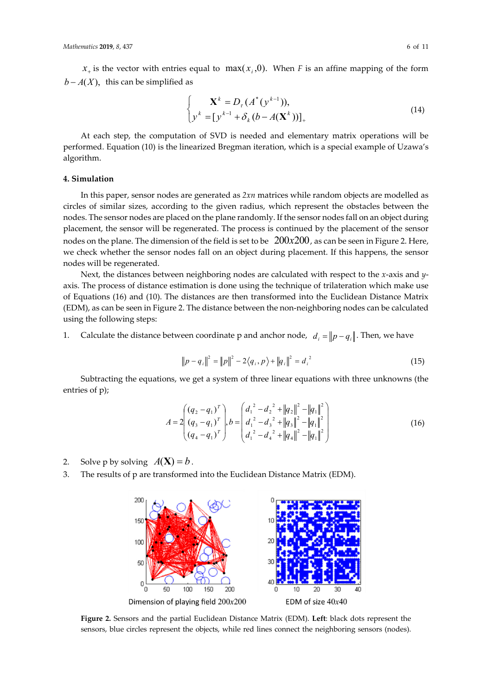$x_{+}$  is the vector with entries equal to max( $x_{i}$ ,0). When *F* is an affine mapping of the form  $b - A(X)$ , this can be simplified as

$$
\begin{cases} \mathbf{X}^{k} = D_{\tau} (A^{*} (y^{k-1})), \\ y^{k} = [y^{k-1} + \delta_{k} (b - A(\mathbf{X}^{k}))]_{+} \end{cases}
$$
(14)

At each step, the computation of SVD is needed and elementary matrix operations will be performed. Equation (10) is the linearized Bregman iteration, which is a special example of Uzawa's algorithm.

## **4. Simulation**

In this paper, sensor nodes are generated as *2xn* matrices while random objects are modelled as circles of similar sizes, according to the given radius, which represent the obstacles between the nodes. The sensor nodes are placed on the plane randomly. If the sensor nodes fall on an object during placement, the sensor will be regenerated. The process is continued by the placement of the sensor nodes on the plane. The dimension of the field is set to be  $200x200$ , as can be seen in Figure 2. Here, we check whether the sensor nodes fall on an object during placement. If this happens, the sensor nodes will be regenerated.

Next, the distances between neighboring nodes are calculated with respect to the *x*-axis and *y*axis. The process of distance estimation is done using the technique of trilateration which make use of Equations (16) and (10). The distances are then transformed into the Euclidean Distance Matrix (EDM), as can be seen in Figure 2. The distance between the non-neighboring nodes can be calculated using the following steps:

1. Calculate the distance between coordinate p and anchor node,  $d_i = ||p - q_i||$ . Then, we have

$$
||p - q_i||^2 = ||p||^2 - 2\langle q_i, p \rangle + ||q_i||^2 = d_i^2
$$
 (15)

Subtracting the equations, we get a system of three linear equations with three unknowns (the entries of p);

$$
A = 2\begin{pmatrix} (q_2 - q_1)^T \\ (q_3 - q_1)^T \\ (q_4 - q_1)^T \end{pmatrix}, b = \begin{pmatrix} d_1^2 - d_2^2 + ||q_2||^2 - ||q_1||^2 \\ d_1^2 - d_3^2 + ||q_3||^2 - ||q_1||^2 \\ d_1^2 - d_4^2 + ||q_4||^2 - ||q_1||^2 \end{pmatrix}
$$
(16)

- 2. Solve p by solving  $A(\mathbf{X}) = b$ .
- 3. The results of p are transformed into the Euclidean Distance Matrix (EDM).



**Figure 2.** Sensors and the partial Euclidean Distance Matrix (EDM). **Left**: black dots represent the sensors, blue circles represent the objects, while red lines connect the neighboring sensors (nodes).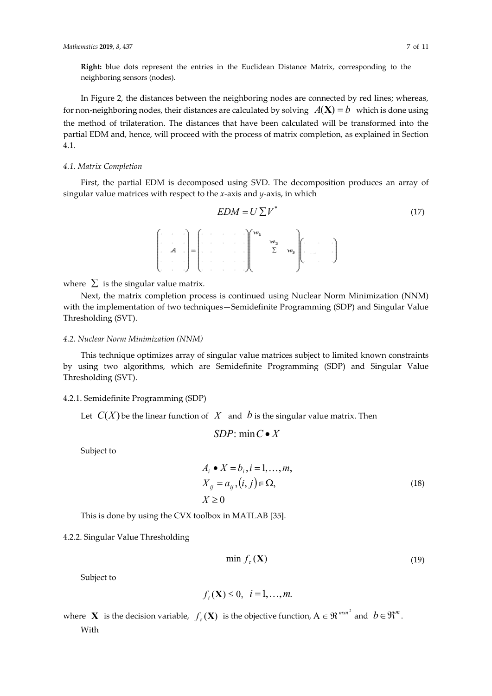**Right:** blue dots represent the entries in the Euclidean Distance Matrix, corresponding to the neighboring sensors (nodes).

In Figure 2, the distances between the neighboring nodes are connected by red lines; whereas, for non-neighboring nodes, their distances are calculated by solving  $A(\mathbf{X}) = b$  which is done using the method of trilateration. The distances that have been calculated will be transformed into the partial EDM and, hence, will proceed with the process of matrix completion, as explained in Section 4.1.

#### *4.1. Matrix Completion*

First, the partial EDM is decomposed using SVD. The decomposition produces an array of singular value matrices with respect to the *x*-axis and *y*-axis, in which

$$
EDM = U \sum V^*
$$
\n(17)\n
$$
A = \begin{bmatrix} \cdots & \cdots & \cdots \\ \cdots & \cdots & \cdots \\ \cdots & \cdots & \cdots \\ \cdots & \cdots & \cdots \end{bmatrix} \begin{bmatrix} w_1 \\ w_2 \\ \cdots \\ w_s \end{bmatrix} \begin{bmatrix} \cdots & \cdots \\ \cdots & \cdots \end{bmatrix}
$$

where  $\Sigma$  is the singular value matrix.

Next, the matrix completion process is continued using Nuclear Norm Minimization (NNM) with the implementation of two techniques—Semidefinite Programming (SDP) and Singular Value Thresholding (SVT).

## *4.2. Nuclear Norm Minimization (NNM)*

This technique optimizes array of singular value matrices subject to limited known constraints by using two algorithms, which are Semidefinite Programming (SDP) and Singular Value Thresholding (SVT).

#### 4.2.1. Semidefinite Programming (SDP)

Let  $C(X)$  be the linear function of X and b is the singular value matrix. Then

$$
SDP: \min C \bullet X
$$

Subject to

$$
A_i \bullet X = b_i, i = 1, ..., m,
$$
  
\n
$$
X_{ij} = a_{ij}, (i, j) \in \Omega,
$$
  
\n
$$
X \ge 0
$$
\n(18)

This is done by using the CVX toolbox in MATLAB [35].

4.2.2. Singular Value Thresholding

$$
\min f_{\tau}(\mathbf{X})\tag{19}
$$

Subject to

$$
f_i(\mathbf{X}) \leq 0, \ \ i=1,\ldots,m.
$$

where **X** is the decision variable,  $f_r(\mathbf{X})$  is the objective function,  $A \in \mathbb{R}^{m \times n^2}$  and  $b \in \mathbb{R}^m$ . With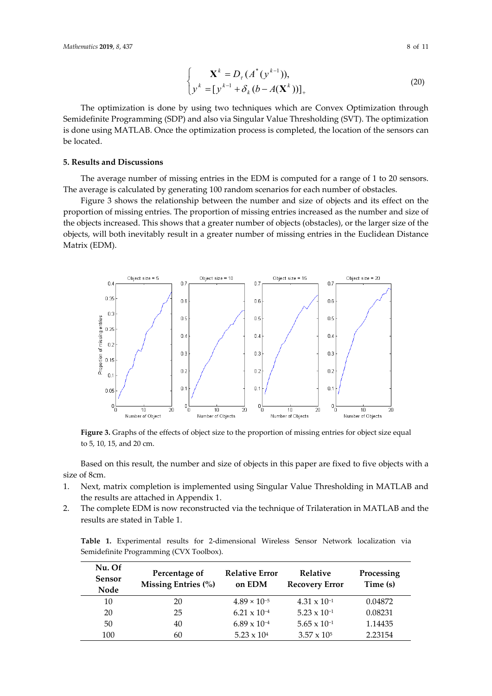$$
\begin{cases} \mathbf{X}^{k} = D_{\tau} (A^{*} (y^{k-1})), \\ y^{k} = [y^{k-1} + \delta_{k} (b - A(\mathbf{X}^{k}))]_{+} \end{cases}
$$
 (20)

The optimization is done by using two techniques which are Convex Optimization through Semidefinite Programming (SDP) and also via Singular Value Thresholding (SVT). The optimization is done using MATLAB. Once the optimization process is completed, the location of the sensors can be located.

### **5. Results and Discussions**

The average number of missing entries in the EDM is computed for a range of 1 to 20 sensors. The average is calculated by generating 100 random scenarios for each number of obstacles.

Figure 3 shows the relationship between the number and size of objects and its effect on the proportion of missing entries. The proportion of missing entries increased as the number and size of the objects increased. This shows that a greater number of objects (obstacles), or the larger size of the objects, will both inevitably result in a greater number of missing entries in the Euclidean Distance Matrix (EDM).



**Figure 3.** Graphs of the effects of object size to the proportion of missing entries for object size equal to 5, 10, 15, and 20 cm.

Based on this result, the number and size of objects in this paper are fixed to five objects with a size of 8cm.

- 1. Next, matrix completion is implemented using Singular Value Thresholding in MATLAB and the results are attached in Appendix 1.
- 2. The complete EDM is now reconstructed via the technique of Trilateration in MATLAB and the results are stated in Table 1.

**Table 1.** Experimental results for 2-dimensional Wireless Sensor Network localization via Semidefinite Programming (CVX Toolbox).

| Nu. Of<br>Sensor<br>Node | Percentage of<br>Missing Entries (%) | <b>Relative Error</b><br>on EDM | <b>Relative</b><br><b>Recovery Error</b> | Processing<br>Time (s) |
|--------------------------|--------------------------------------|---------------------------------|------------------------------------------|------------------------|
| 10                       | 20                                   | $4.89 \times 10^{-5}$           | $4.31 \times 10^{-1}$                    | 0.04872                |
| 20                       | 25                                   | $6.21 \times 10^{-4}$           | $5.23 \times 10^{-1}$                    | 0.08231                |
| 50                       | 40                                   | $6.89 \times 10^{-4}$           | $5.65 \times 10^{-1}$                    | 1.14435                |
| 100                      | 60                                   | $5.23 \times 10^{4}$            | $3.57 \times 10^{5}$                     | 2.23154                |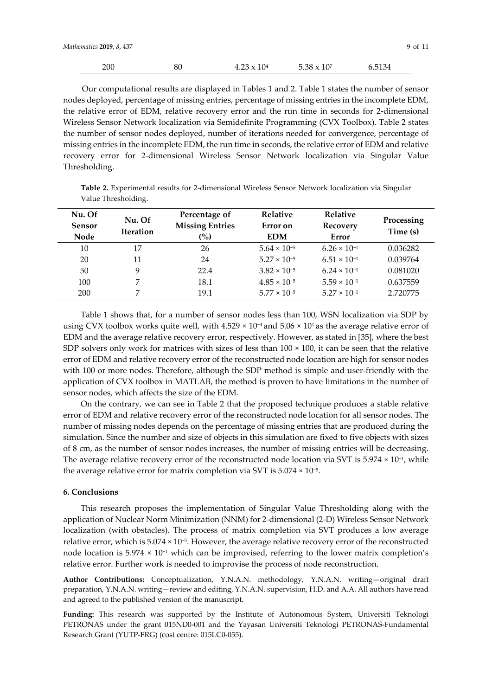|  | 200<br>$ -$ | 01<br>ðU | ΙV<br>$1.1 - 0.11$ | 10 <sup>7</sup><br>$\cap$<br>. ነጦ<br>. | . .<br>154<br>. <u>.</u> . |
|--|-------------|----------|--------------------|----------------------------------------|----------------------------|
|--|-------------|----------|--------------------|----------------------------------------|----------------------------|

Our computational results are displayed in Tables 1 and 2. Table 1 states the number of sensor nodes deployed, percentage of missing entries, percentage of missing entries in the incomplete EDM, the relative error of EDM, relative recovery error and the run time in seconds for 2-dimensional Wireless Sensor Network localization via Semidefinite Programming (CVX Toolbox). Table 2 states the number of sensor nodes deployed, number of iterations needed for convergence, percentage of missing entries in the incomplete EDM, the run time in seconds, the relative error of EDM and relative recovery error for 2-dimensional Wireless Sensor Network localization via Singular Value Thresholding.

**Table 2.** Experimental results for 2-dimensional Wireless Sensor Network localization via Singular Value Thresholding.

| Nu. Of<br><b>Sensor</b><br>Node | Nu. Of<br><b>Iteration</b> | Percentage of<br><b>Missing Entries</b><br>(%) | <b>Relative</b><br>Error on<br><b>EDM</b> | Relative<br>Recovery<br>Error | Processing<br>Time (s) |
|---------------------------------|----------------------------|------------------------------------------------|-------------------------------------------|-------------------------------|------------------------|
| 10                              | 17                         | 26                                             | $5.64 \times 10^{-5}$                     | $6.26 \times 10^{-1}$         | 0.036282               |
| 20                              | 11                         | 24                                             | $5.27 \times 10^{-5}$                     | $6.51 \times 10^{-1}$         | 0.039764               |
| 50                              | 9                          | 22.4                                           | $3.82 \times 10^{-5}$                     | $6.24 \times 10^{-1}$         | 0.081020               |
| 100                             | 7                          | 18.1                                           | $4.85 \times 10^{-5}$                     | $5.59 \times 10^{-1}$         | 0.637559               |
| 200                             |                            | 19.1                                           | $5.77 \times 10^{-5}$                     | $5.27 \times 10^{-1}$         | 2.720775               |

Table 1 shows that, for a number of sensor nodes less than 100, WSN localization via SDP by using CVX toolbox works quite well, with 4.529 × 10<sup>-4</sup> and 5.06 × 10<sup>1</sup> as the average relative error of EDM and the average relative recovery error, respectively. However, as stated in [35], where the best SDP solvers only work for matrices with sizes of less than  $100 \times 100$ , it can be seen that the relative error of EDM and relative recovery error of the reconstructed node location are high for sensor nodes with 100 or more nodes. Therefore, although the SDP method is simple and user-friendly with the application of CVX toolbox in MATLAB, the method is proven to have limitations in the number of sensor nodes, which affects the size of the EDM.

On the contrary, we can see in Table 2 that the proposed technique produces a stable relative error of EDM and relative recovery error of the reconstructed node location for all sensor nodes. The number of missing nodes depends on the percentage of missing entries that are produced during the simulation. Since the number and size of objects in this simulation are fixed to five objects with sizes of 8 cm, as the number of sensor nodes increases, the number of missing entries will be decreasing. The average relative recovery error of the reconstructed node location via SVT is 5.974 × 10−1, while the average relative error for matrix completion via SVT is 5.074 × 10−5.

## **6. Conclusions**

This research proposes the implementation of Singular Value Thresholding along with the application of Nuclear Norm Minimization (NNM) for 2-dimensional (2-D) Wireless Sensor Network localization (with obstacles). The process of matrix completion via SVT produces a low average relative error, which is 5.074 × 10−5. However, the average relative recovery error of the reconstructed node location is 5.974 × 10−1 which can be improvised, referring to the lower matrix completion's relative error. Further work is needed to improvise the process of node reconstruction.

**Author Contributions:** Conceptualization, Y.N.A.N. methodology, Y.N.A.N. writing—original draft preparation, Y.N.A.N. writing—review and editing, Y.N.A.N. supervision, H.D. and A.A. All authors have read and agreed to the published version of the manuscript.

**Funding:** This research was supported by the Institute of Autonomous System, Universiti Teknologi PETRONAS under the grant 015ND0-001 and the Yayasan Universiti Teknologi PETRONAS-Fundamental Research Grant (YUTP-FRG) (cost centre: 015LC0-055).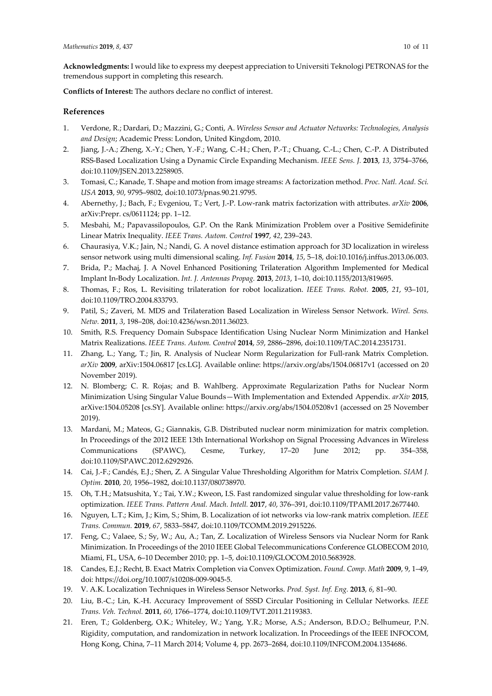**Conflicts of Interest:** The authors declare no conflict of interest.

## **References**

- 1. Verdone, R.; Dardari, D.; Mazzini, G.; Conti, A. *Wireless Sensor and Actuator Networks: Technologies, Analysis and Design*; Academic Press: London, United Kingdom, 2010.
- 2. Jiang, J.-A.; Zheng, X.-Y.; Chen, Y.-F.; Wang, C.-H.; Chen, P.-T.; Chuang, C.-L.; Chen, C.-P. A Distributed RSS-Based Localization Using a Dynamic Circle Expanding Mechanism. *IEEE Sens. J.* **2013**, *13*, 3754–3766, doi:10.1109/JSEN.2013.2258905.
- 3. Tomasi, C.; Kanade, T. Shape and motion from image streams: A factorization method. *Proc. Natl. Acad. Sci. USA* **2013**, *90*, 9795–9802, doi:10.1073/pnas.90.21.9795.
- 4. Abernethy, J.; Bach, F.; Evgeniou, T.; Vert, J.-P. Low-rank matrix factorization with attributes. *arXiv* **2006**, arXiv:Prepr. cs/0611124; pp. 1–12.
- 5. Mesbahi, M.; Papavassilopoulos, G.P. On the Rank Minimization Problem over a Positive Semidefinite Linear Matrix Inequality. *IEEE Trans. Autom. Control* **1997**, *42*, 239–243.
- 6. Chaurasiya, V.K.; Jain, N.; Nandi, G. A novel distance estimation approach for 3D localization in wireless sensor network using multi dimensional scaling. *Inf. Fusion* **2014**, *15*, 5–18, doi:10.1016/j.inffus.2013.06.003.
- 7. Brida, P.; Machaj, J. A Novel Enhanced Positioning Trilateration Algorithm Implemented for Medical Implant In-Body Localization. *Int. J. Antennas Propag.* **2013**, *2013*, 1–10, doi:10.1155/2013/819695.
- 8. Thomas, F.; Ros, L. Revisiting trilateration for robot localization. *IEEE Trans. Robot.* **2005**, *21*, 93–101, doi:10.1109/TRO.2004.833793.
- 9. Patil, S.; Zaveri, M. MDS and Trilateration Based Localization in Wireless Sensor Network. *Wirel. Sens. Netw.* **2011**, *3*, 198–208, doi:10.4236/wsn.2011.36023.
- 10. Smith, R.S. Frequency Domain Subspace Identification Using Nuclear Norm Minimization and Hankel Matrix Realizations. *IEEE Trans. Autom. Control* **2014**, *59*, 2886–2896, doi:10.1109/TAC.2014.2351731.
- 11. Zhang, L.; Yang, T.; Jin, R. Analysis of Nuclear Norm Regularization for Full-rank Matrix Completion. *arXiv* **2009**, arXiv:1504.06817 [cs.LG]. Available online: https://arxiv.org/abs/1504.06817v1 (accessed on 20 November 2019).
- 12. N. Blomberg; C. R. Rojas; and B. Wahlberg. Approximate Regularization Paths for Nuclear Norm Minimization Using Singular Value Bounds—With Implementation and Extended Appendix. *arXiv* **2015**, arXive:1504.05208 [cs.SY]. Available online: https://arxiv.org/abs/1504.05208v1 (accessed on 25 November 2019).
- 13. Mardani, M.; Mateos, G.; Giannakis, G.B. Distributed nuclear norm minimization for matrix completion. In Proceedings of the 2012 IEEE 13th International Workshop on Signal Processing Advances in Wireless Communications (SPAWC), Cesme, Turkey, 17–20 June 2012; pp. 354–358, doi:10.1109/SPAWC.2012.6292926.
- 14. Cai, J.-F.; Candés, E.J.; Shen, Z. A Singular Value Thresholding Algorithm for Matrix Completion. *SIAM J. Optim.* **2010**, *20*, 1956–1982, doi:10.1137/080738970.
- 15. Oh, T.H.; Matsushita, Y.; Tai, Y.W.; Kweon, I.S. Fast randomized singular value thresholding for low-rank optimization. *IEEE Trans. Pattern Anal. Mach. Intell.* **2017**, *40*, 376–391, doi:10.1109/TPAMI.2017.2677440.
- 16. Nguyen, L.T.; Kim, J.; Kim, S.; Shim, B. Localization of iot networks via low-rank matrix completion. *IEEE Trans. Commun.* **2019**, *67*, 5833–5847, doi:10.1109/TCOMM.2019.2915226.
- 17. Feng, C.; Valaee, S.; Sy, W.; Au, A.; Tan, Z. Localization of Wireless Sensors via Nuclear Norm for Rank Minimization. In Proceedings of the 2010 IEEE Global Telecommunications Conference GLOBECOM 2010, Miami, FL, USA, 6–10 December 2010; pp. 1–5, doi:10.1109/GLOCOM.2010.5683928.
- 18. Candes, E.J.; Recht, B. Exact Matrix Completion via Convex Optimization. *Found. Comp. Math* **2009**, 9, 1–49, doi: https://doi.org/10.1007/s10208-009-9045-5.
- 19. V. A.K. Localization Techniques in Wireless Sensor Networks. *Prod*. *Syst. Inf. Eng.* **2013**, *6*, 81–90.
- 20. Liu, B.-C.; Lin, K.-H. Accuracy Improvement of SSSD Circular Positioning in Cellular Networks. *IEEE Trans. Veh. Technol.* **2011**, *60*, 1766–1774, doi:10.1109/TVT.2011.2119383.
- 21. Eren, T.; Goldenberg, O.K.; Whiteley, W.; Yang, Y.R.; Morse, A.S.; Anderson, B.D.O.; Belhumeur, P.N. Rigidity, computation, and randomization in network localization. In Proceedings of the IEEE INFOCOM, Hong Kong, China, 7–11 March 2014; Volume 4, pp. 2673–2684, doi:10.1109/INFCOM.2004.1354686.